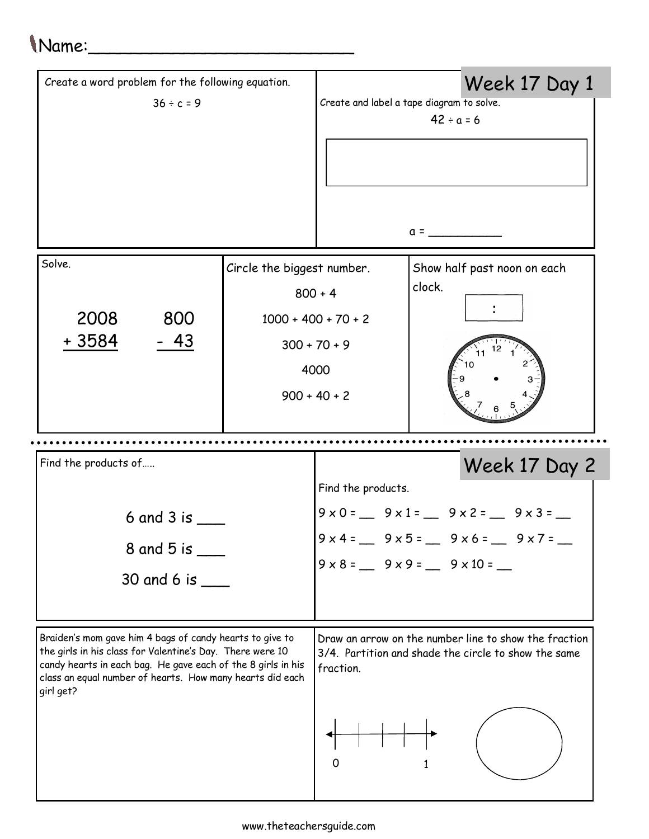## Name:\_\_\_\_\_\_\_\_\_\_\_\_\_\_\_\_\_\_\_\_\_\_\_\_\_

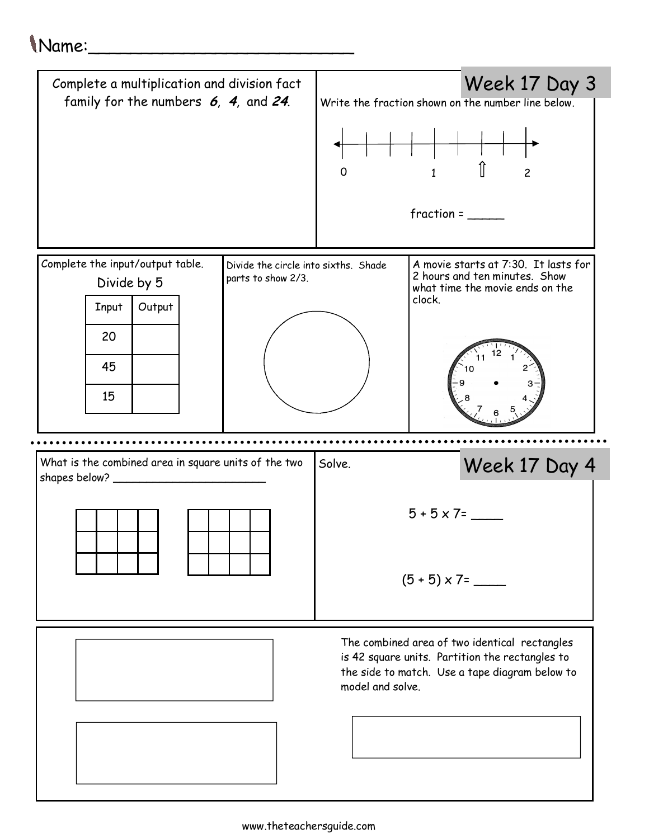## Name:\_\_\_\_\_\_\_\_\_\_\_\_\_\_\_\_\_\_\_\_\_\_\_\_\_